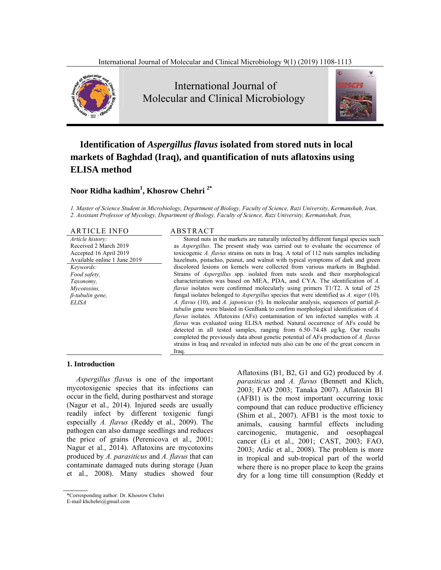

# **Identification of** *Aspergillus flavus* **isolated from stored nuts in local markets of Baghdad (Iraq), and quantification of nuts aflatoxins using ELISA method**

## **Noor Ridha kadhim1 , Khosrow Chehri 2\***

*1. Master of Science Student in Microbiology, Department of Biology, Faculty of Science, Razi University, Kermanshah, Iran, 2. Assistant Professor of Mycology, Department of Biology, Faculty of Science, Razi University, Kermanshah, Iran,* 

| <b>ARTICLE INFO</b>          | ABSTRACT                                                                                               |
|------------------------------|--------------------------------------------------------------------------------------------------------|
| Article history:             | Stored nuts in the markets are naturally infected by different fungal species such                     |
| Received 2 March 2019        | as <i>Aspergillus</i> . The present study was carried out to evaluate the occurrence of                |
| Accepted 16 April 2019       | toxicogenic A. flavus strains on nuts in Iraq. A total of 112 nuts samples including                   |
| Available online 1 June 2019 | hazelnuts, pistachio, peanut, and walnut with typical symptoms of dark and green                       |
| Keywords:                    | discolored lesions on kernels were collected from various markets in Baghdad.                          |
| Food safety,                 | Strains of <i>Aspergillus</i> spp. isolated from nuts seeds and their morphological                    |
| Taxonomy,                    | characterization was based on MEA, PDA, and CYA. The identification of A.                              |
| Mycotoxins,                  | <i>flavus</i> isolates were confirmed molecularly using primers $T1/T2$ . A total of 25                |
| $\beta$ -tubulin gene,       | fungal isolates belonged to <i>Aspergillus</i> species that were identified as $\hat{A}$ , niger (10), |
| ELISA                        | A. flavus (10), and A. japonicus (5). In molecular analysis, sequences of partial $\beta$ -            |
|                              | <i>tubulin</i> gene were blasted in GenBank to confirm morphological identification of A.              |
|                              | <i>flavus</i> isolates. Aflatoxins (AFs) contamination of ten infected samples with A.                 |
|                              | <i>flavus</i> was evaluated using ELISA method. Natural occurrence of AFs could be                     |
|                              | detected in all tested samples, ranging from $6.50-74.48$ $\mu$ g/kg. Our results                      |
|                              | completed the previously data about genetic potential of AFs production of A. flavus                   |
|                              | strains in Iraq and revealed in infected nuts also can be one of the great concern in                  |

Iraq.

#### **1. Introduction**

*Aspergillus flavus* is one of the important mycotoxigenic species that its infections can occur in the field, during postharvest and storage (Nagur et al., 2014). Injured seeds are usually readily infect by different toxigenic fungi especially *A. flavus* (Reddy et al., 2009). The pathogen can also damage seedlings and reduces the price of grains (Perenicova et al., 2001; Nagur et al., 2014). Aflatoxins are mycotoxins produced by *A. parasiticus* and *A. flavus* that can contaminate damaged nuts during storage (Juan et al., 2008). Many studies showed four

Aflatoxins (B1, B2, G1 and G2) produced by *A. parasiticus* and *A. flavus* (Bennett and Klich, 2003; FAO 2003; Tanaka 2007). Aflatoxin B1 (AFB1) is the most important occurring toxic compound that can reduce productive efficiency (Shim et al., 2007). AFB1 is the most toxic to animals, causing harmful effects including carcinogenic, mutagenic, and oesophageal cancer (Li et al., 2001; CAST, 2003; FAO, 2003; Ardic et al., 2008). The problem is more in tropical and sub-tropical part of the world where there is no proper place to keep the grains dry for a long time till consumption (Reddy et

<sup>\*</sup>Corresponding author: Dr. Khosrow Chehri

E-mail khchehri@gmail.com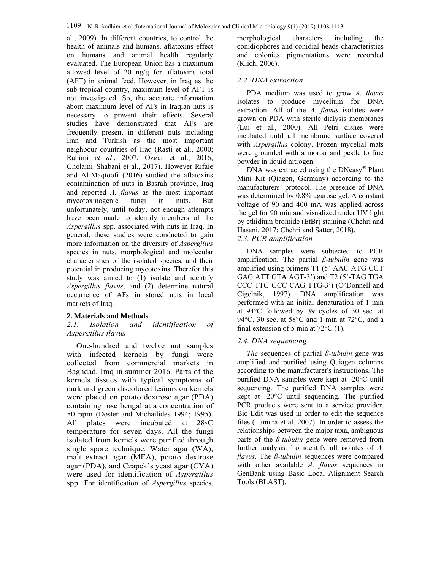al., 2009). In different countries, to control the health of animals and humans, aflatoxins effect on humans and animal health regularly evaluated. The European Union has a maximum allowed level of 20 ng/g for aflatoxins total (AFT) in animal feed. However, in Iraq as the sub-tropical country, maximum level of AFT is not investigated. So, the accurate information about maximum level of AFs in Iraqian nuts is necessary to prevent their effects. Several studies have demonstrated that AFs are frequently present in different nuts including Iran and Turkish as the most important neighbour countries of Iraq (Rasti et al., 2000; Rahimi *et al*., 2007; Ozgur et al., 2016; Gholami–Shabani et al., 2017). However Rifaie and Al-Maqtoofi (2016) studied the aflatoxins contamination of nuts in Basrah province, Iraq and reported *A. flavus* as the most important mycotoxinogenic fungi in nuts. But unfortunately, until today, not enough attempts have been made to identify members of the *Aspergillus* spp. associated with nuts in Iraq. In general, these studies were conducted to gain more information on the diversity of *Aspergillus* species in nuts, morphological and molecular characteristics of the isolated species, and their potential in producing mycotoxins. Therefor this study was aimed to (1) isolate and identify *Aspergillus flavus*, and (2) determine natural occurrence of AFs in stored nuts in local markets of Iraq.

### **2. Materials and Methods**

#### *2.1. Isolation and identification of Aspergillus flavus*

One-hundred and twelve nut samples with infected kernels by fungi were collected from commercial markets in Baghdad, Iraq in summer 2016. Parts of the kernels tissues with typical symptoms of dark and green discolored lesions on kernels were placed on potato dextrose agar (PDA) containing rose bengal at a concentration of 50 ppm (Doster and Michailides 1994; 1995). All plates were incubated at 28◦C temperature for seven days. All the fungi isolated from kernels were purified through single spore technique. Water agar (WA), malt extract agar (MEA), potato dextrose agar (PDA), and Czapek's yeast agar (CYA) were used for identification of *Aspergillus* spp. For identification of *Aspergillus* species,

morphological characters including the conidiophores and conidial heads characteristics and colonies pigmentations were recorded (Klich, 2006).

### *2.2. DNA extraction*

PDA medium was used to grow *A. flavus* isolates to produce mycelium for DNA extraction. All of the *A. flavus* isolates were grown on PDA with sterile dialysis membranes (Lui et al., 2000). All Petri dishes were incubated until all membrane surface covered with *Aspergillus* colony. Frozen mycelial mats were grounded with a mortar and pestle to fine powder in liquid nitrogen.

DNA was extracted using the DNeasy® Plant Mini Kit (Qiagen, Germany) according to the manufacturers' protocol. The presence of DNA was determined by 0.8% agarose gel. A constant voltage of 90 and 400 mA was applied across the gel for 90 min and visualized under UV light by ethidium bromide (EtBr) staining (Chehri and Hasani, 2017; Chehri and Satter, 2018).

## *2.3. PCR amplification*

DNA samples were subjected to PCR amplification. The partial *β*-*tubulin* gene was amplified using primers T1 (5'-AAC ATG CGT GAG ATT GTA AGT-3') and T2 (5'-TAG TGA CCC TTG GCC CAG TTG-3') (O'Donnell and Cigelnik, 1997). DNA amplification was performed with an initial denaturation of 1 min at 94°C followed by 39 cycles of 30 sec. at 94°C, 30 sec. at 58°C and 1 min at 72°C, and a final extension of 5 min at  $72^{\circ}$ C (1).

### *2.4. DNA sequencing*

*The* sequences of partial *β-tubulin* gene was amplified and purified using Quiagen columns according to the manufacturer's instructions. The purified DNA samples were kept at -20°C until sequencing. The purified DNA samples were kept at -20°C until sequencing. The purified PCR products were sent to a service provider. Bio Edit was used in order to edit the sequence files (Tamura et al. 2007). In order to assess the relationships between the major taxa, ambiguous parts of the *β-tubulin* gene were removed from further analysis. To identify all isolates of *A. flavus*. The *β-tubulin* sequences were compared with other available *A. flavus* sequences in GenBank using Basic Local Alignment Search Tools (BLAST).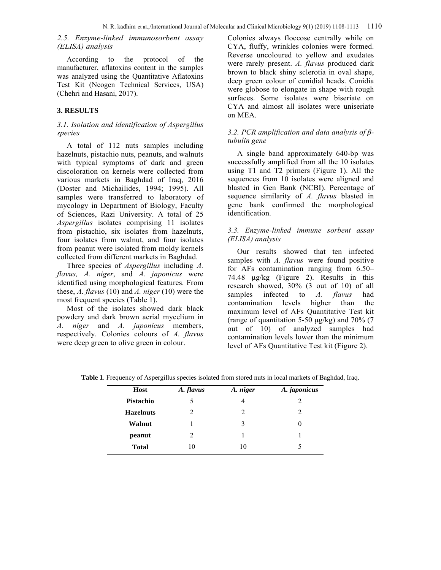#### *2.5. Enzyme-linked immunosorbent assay (ELISA) analysis*

According to the protocol of the manufacturer, aflatoxins content in the samples was analyzed using the Quantitative Aflatoxins Test Kit (Neogen Technical Services, USA) (Chehri and Hasani, 2017).

#### **3. RESULTS**

#### *3.1. Isolation and identification of Aspergillus species*

A total of 112 nuts samples including hazelnuts, pistachio nuts, peanuts, and walnuts with typical symptoms of dark and green discoloration on kernels were collected from various markets in Baghdad of Iraq, 2016 (Doster and Michailides, 1994; 1995). All samples were transferred to laboratory of mycology in Department of Biology, Faculty of Sciences, Razi University. A total of 25 *Aspergillus* isolates comprising 11 isolates from pistachio, six isolates from hazelnuts, four isolates from walnut, and four isolates from peanut were isolated from moldy kernels collected from different markets in Baghdad.

Three species of *Aspergillus* including *A. flavus, A. niger*, and *A. japonicus* were identified using morphological features. From these, *A. flavus* (10) and *A. niger* (10) were the most frequent species (Table 1).

Most of the isolates showed dark black powdery and dark brown aerial mycelium in *A. niger* and *A. japonicus* members, respectively. Colonies colours of *A. flavus* were deep green to olive green in colour.

Colonies always floccose centrally while on CYA, fluffy, wrinkles colonies were formed. Reverse uncoloured to yellow and exudates were rarely present. *A. flavus* produced dark brown to black shiny sclerotia in oval shape, deep green colour of conidial heads. Conidia were globose to elongate in shape with rough surfaces. Some isolates were biseriate on CYA and almost all isolates were uniseriate on MEA.

#### *3.2. PCR amplification and data analysis of βtubulin gene*

A single band approximately 640-bp was successfully amplified from all the 10 isolates using T1 and T2 primers (Figure 1). All the sequences from 10 isolates were aligned and blasted in Gen Bank (NCBI). Percentage of sequence similarity of *A. flavus* blasted in gene bank confirmed the morphological identification.

#### *3.3. Enzyme-linked immune sorbent assay (ELISA) analysis*

Our results showed that ten infected samples with *A. flavus* were found positive for AFs contamination ranging from 6.50– 74.48 μg/kg (Figure 2). Results in this research showed, 30% (3 out of 10) of all samples infected to *A. flavus* had contamination levels higher than the maximum level of AFs Quantitative Test kit (range of quantitation 5-50 μg/kg) and 70% (7 out of 10) of analyzed samples had contamination levels lower than the minimum level of AFs Quantitative Test kit (Figure 2).

| Host             | A. flavus | A. niger | A. japonicus |
|------------------|-----------|----------|--------------|
| Pistachio        |           | 4        |              |
| <b>Hazelnuts</b> | 2         | 2        |              |
| Walnut           |           | 3        |              |
| peanut           | 2         |          |              |
| <b>Total</b>     | 10        | 10       |              |

**Table 1**. Frequency of Aspergillus species isolated from stored nuts in local markets of Baghdad, Iraq.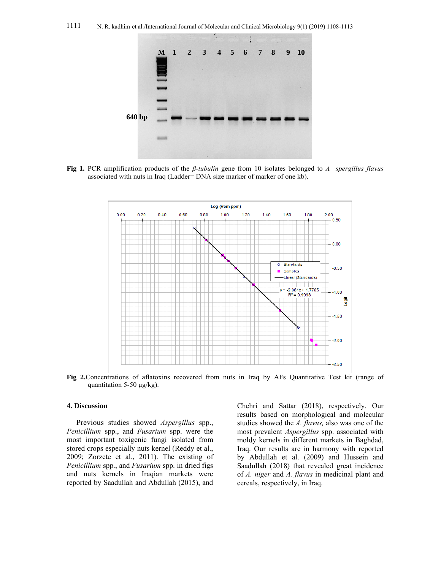

**Fig 1.** PCR amplification products of the *β-tubulin* gene from 10 isolates belonged to *A spergillus flavus* associated with nuts in Iraq (Ladder= DNA size marker of marker of one kb).



**Fig 2.**Concentrations of aflatoxins recovered from nuts in Iraq by AFs Quantitative Test kit (range of quantitation 5-50 μg/kg).

#### **4. Discussion**

Previous studies showed *Aspergillus* spp., *Penicillium* spp., and *Fusarium* spp. were the most important toxigenic fungi isolated from stored crops especially nuts kernel (Reddy et al., 2009; Zorzete et al., 2011). The existing of *Penicillium* spp., and *Fusarium* spp. in dried figs and nuts kernels in Iraqian markets were reported by Saadullah and Abdullah (2015), and Chehri and Sattar (2018), respectively. Our results based on morphological and molecular studies showed the *A. flavus,* also was one of the most prevalent *Aspergillus* spp. associated with moldy kernels in different markets in Baghdad, Iraq. Our results are in harmony with reported by Abdullah et al. (2009) and Hussein and Saadullah (2018) that revealed great incidence of *A. niger* and *A. flavus* in medicinal plant and cereals, respectively, in Iraq.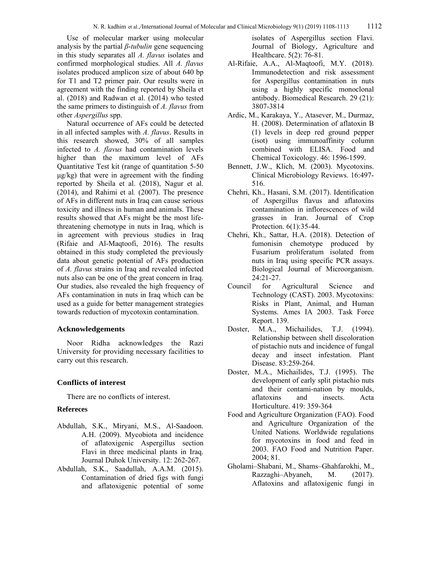Use of molecular marker using molecular analysis by the partial *β*-*tubulin* gene sequencing in this study separates all *A. flavus* isolates and confirmed morphological studies. All *A. flavus* isolates produced amplicon size of about 640 bp for T1 and T2 primer pair. Our results were in agreement with the finding reported by Sheila et al. (2018) and Radwan et al. (2014) who tested the same primers to distinguish of *A. flavus* from other *Aspergillus* spp.

Natural occurrence of AFs could be detected in all infected samples with *A. flavus*. Results in this research showed, 30% of all samples infected to *A. flavus* had contamination levels higher than the maximum level of AFs Quantitative Test kit (range of quantitation 5-50 μg/kg) that were in agreement with the finding reported by Sheila et al. (2018), Nagur et al. (2014), and Rahimi et al*.* (2007). The presence of AFs in different nuts in Iraq can cause serious toxicity and illness in human and animals. These results showed that AFs might be the most lifethreatening chemotype in nuts in Iraq, which is in agreement with previous studies in Iraq (Rifaie and Al-Maqtoofi, 2016). The results obtained in this study completed the previously data about genetic potential of AFs production of *A. flavus* strains in Iraq and revealed infected nuts also can be one of the great concern in Iraq. Our studies, also revealed the high frequency of AFs contamination in nuts in Iraq which can be used as a guide for better management strategies towards reduction of mycotoxin contamination.

#### **Acknowledgements**

Noor Ridha acknowledges the Razi University for providing necessary facilities to carry out this research.

#### **Conflicts of interest**

There are no conflicts of interest.

#### **Refereces**

- Abdullah, S.K., Miryani, M.S., Al-Saadoon. A.H. (2009). Mycobiota and incidence of aflatoxigenic Aspergillus section Flavi in three medicinal plants in Iraq. Journal Duhok University. 12: 262-267.
- Abdullah, S.K., Saadullah, A.A.M. (2015). Contamination of dried figs with fungi and aflatoxigenic potential of some

isolates of Aspergillus section Flavi. Journal of Biology, Agriculture and Healthcare. 5(2): 76-81.

- Al-Rifaie, A.A., Al-Maqtoofi, M.Y. (2018). Immunodetection and risk assessment for Aspergillus contamination in nuts using a highly specific monoclonal antibody. Biomedical Research. 29 (21): 3807-3814
- Ardic, M., Karakaya, Y., Atasever, M., Durmaz, H. (2008). Determination of aflatoxin B (1) levels in deep red ground pepper (isot) using immunoaffinity column combined with ELISA. Food and Chemical Toxicology. 46: 1596-1599.
- Bennett, J.W., Klich, M. (2003). Mycotoxins. Clinical Microbiology Reviews. 16:497- 516.
- Chehri, Kh., Hasani, S.M. (2017). Identification of Aspergillus flavus and aflatoxins contamination in inflorescences of wild grasses in Iran. Journal of Crop Protection. 6(1):35-44.
- Chehri, Kh., Sattar, H.A. (2018). Detection of fumonisin chemotype produced by Fusarium proliferatum isolated from nuts in Iraq using specific PCR assays. Biological Journal of Microorganism. 24:21-27.
- Council for Agricultural Science and Technology (CAST). 2003. Mycotoxins: Risks in Plant, Animal, and Human Systems. Ames IA 2003. Task Force Report. 139.
- Doster, M.A., Michailides, T.J. (1994). Relationship between shell discoloration of pistachio nuts and incidence of fungal decay and insect infestation. Plant Disease. 83:259-264.
- Doster, M.A., Michailides, T.J. (1995). The development of early split pistachio nuts and their contami-nation by moulds, aflatoxins and insects. Acta Horticulture. 419: 359-364
- Food and Agriculture Organization (FAO). Food and Agriculture Organization of the United Nations. Worldwide regulations for mycotoxins in food and feed in 2003. FAO Food and Nutrition Paper. 2004; 81.
- Gholami–Shabani, M., Shams–Ghahfarokhi, M., Razzaghi–Abyaneh, M. (2017). Aflatoxins and aflatoxigenic fungi in